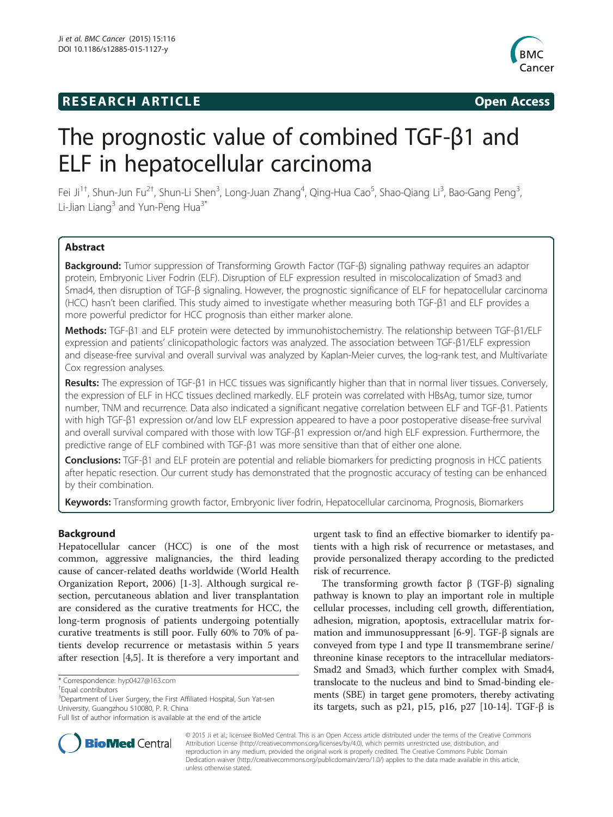## **RESEARCH ARTICLE Example 2014 CONSIDERING CONSIDERING CONSIDERING CONSIDERING CONSIDERING CONSIDERING CONSIDERING CONSIDERING CONSIDERING CONSIDERING CONSIDERING CONSIDERING CONSIDERING CONSIDERING CONSIDERING CONSIDE**



# The prognostic value of combined TGF-β1 and ELF in hepatocellular carcinoma

Fei Ji<sup>1†</sup>, Shun-Jun Fu<sup>2†</sup>, Shun-Li Shen<sup>3</sup>, Long-Juan Zhang<sup>4</sup>, Qing-Hua Cao<sup>5</sup>, Shao-Qiang Li<sup>3</sup>, Bao-Gang Peng<sup>3</sup> , Li-Jian Liang $3$  and Yun-Peng Hua $3^*$ 

## **Abstract**

Background: Tumor suppression of Transforming Growth Factor (TGF-β) signaling pathway requires an adaptor protein, Embryonic Liver Fodrin (ELF). Disruption of ELF expression resulted in miscolocalization of Smad3 and Smad4, then disruption of TGF-β signaling. However, the prognostic significance of ELF for hepatocellular carcinoma (HCC) hasn't been clarified. This study aimed to investigate whether measuring both TGF-β1 and ELF provides a more powerful predictor for HCC prognosis than either marker alone.

Methods: TGF-β1 and ELF protein were detected by immunohistochemistry. The relationship between TGF-β1/ELF expression and patients' clinicopathologic factors was analyzed. The association between TGF-β1/ELF expression and disease-free survival and overall survival was analyzed by Kaplan-Meier curves, the log-rank test, and Multivariate Cox regression analyses.

Results: The expression of TGF- $\beta$ 1 in HCC tissues was significantly higher than that in normal liver tissues. Conversely, the expression of ELF in HCC tissues declined markedly. ELF protein was correlated with HBsAg, tumor size, tumor number, TNM and recurrence. Data also indicated a significant negative correlation between ELF and TGF-β1. Patients with high TGF-β1 expression or/and low ELF expression appeared to have a poor postoperative disease-free survival and overall survival compared with those with low TGF-β1 expression or/and high ELF expression. Furthermore, the predictive range of ELF combined with TGF-β1 was more sensitive than that of either one alone.

Conclusions: TGF-β1 and ELF protein are potential and reliable biomarkers for predicting prognosis in HCC patients after hepatic resection. Our current study has demonstrated that the prognostic accuracy of testing can be enhanced by their combination.

Keywords: Transforming growth factor, Embryonic liver fodrin, Hepatocellular carcinoma, Prognosis, Biomarkers

## Background

Hepatocellular cancer (HCC) is one of the most common, aggressive malignancies, the third leading cause of cancer-related deaths worldwide (World Health Organization Report, 2006) [\[1](#page-9-0)-[3\]](#page-9-0). Although surgical resection, percutaneous ablation and liver transplantation are considered as the curative treatments for HCC, the long-term prognosis of patients undergoing potentially curative treatments is still poor. Fully 60% to 70% of patients develop recurrence or metastasis within 5 years after resection [\[4,5](#page-9-0)]. It is therefore a very important and

urgent task to find an effective biomarker to identify patients with a high risk of recurrence or metastases, and provide personalized therapy according to the predicted risk of recurrence.

The transforming growth factor  $β$  (TGF- $β$ ) signaling pathway is known to play an important role in multiple cellular processes, including cell growth, differentiation, adhesion, migration, apoptosis, extracellular matrix formation and immunosuppressant [[6-9](#page-9-0)]. TGF-β signals are conveyed from type I and type II transmembrane serine/ threonine kinase receptors to the intracellular mediators-Smad2 and Smad3, which further complex with Smad4, translocate to the nucleus and bind to Smad-binding elements (SBE) in target gene promoters, thereby activating its targets, such as p21, p15, p16, p27 [\[10](#page-9-0)-[14](#page-9-0)]. TGF-β is



© 2015 Ji et al.; licensee BioMed Central. This is an Open Access article distributed under the terms of the Creative Commons Attribution License (<http://creativecommons.org/licenses/by/4.0>), which permits unrestricted use, distribution, and reproduction in any medium, provided the original work is properly credited. The Creative Commons Public Domain Dedication waiver [\(http://creativecommons.org/publicdomain/zero/1.0/](http://creativecommons.org/publicdomain/zero/1.0/)) applies to the data made available in this article, unless otherwise stated.

<sup>\*</sup> Correspondence: [hyp0427@163.com](mailto:hyp0427@163.com) †

Equal contributors

<sup>&</sup>lt;sup>3</sup>Department of Liver Surgery, the First Affiliated Hospital, Sun Yat-sen University, Guangzhou 510080, P. R. China

Full list of author information is available at the end of the article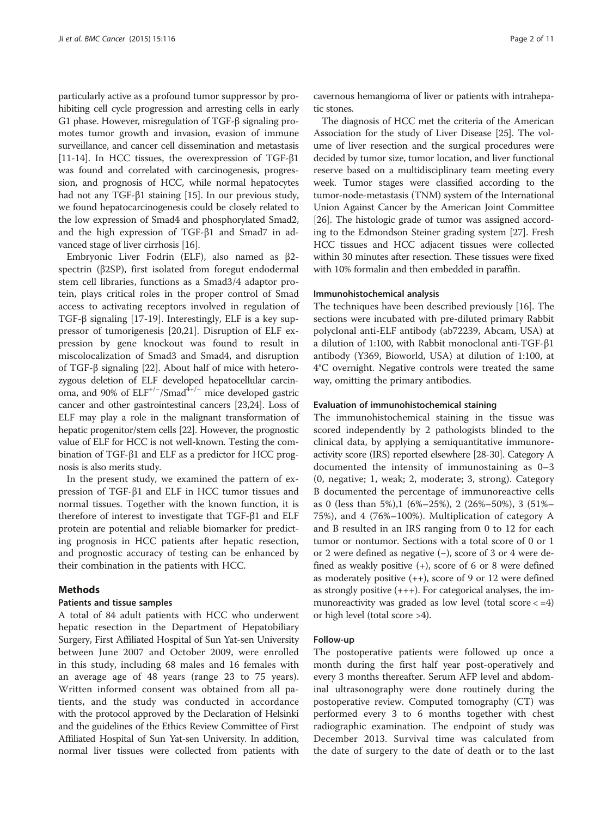particularly active as a profound tumor suppressor by prohibiting cell cycle progression and arresting cells in early G1 phase. However, misregulation of TGF-β signaling promotes tumor growth and invasion, evasion of immune surveillance, and cancer cell dissemination and metastasis [[11](#page-9-0)-[14](#page-9-0)]. In HCC tissues, the overexpression of TGF-β1 was found and correlated with carcinogenesis, progression, and prognosis of HCC, while normal hepatocytes had not any TGF-β1 staining [\[15\]](#page-9-0). In our previous study, we found hepatocarcinogenesis could be closely related to the low expression of Smad4 and phosphorylated Smad2, and the high expression of TGF-β1 and Smad7 in advanced stage of liver cirrhosis [[16](#page-9-0)].

Embryonic Liver Fodrin (ELF), also named as β2 spectrin (β2SP), first isolated from foregut endodermal stem cell libraries, functions as a Smad3/4 adaptor protein, plays critical roles in the proper control of Smad access to activating receptors involved in regulation of TGF-β signaling [\[17](#page-9-0)-[19\]](#page-9-0). Interestingly, ELF is a key suppressor of tumorigenesis [[20](#page-9-0),[21](#page-9-0)]. Disruption of ELF expression by gene knockout was found to result in miscolocalization of Smad3 and Smad4, and disruption of TGF-β signaling [[22\]](#page-9-0). About half of mice with heterozygous deletion of ELF developed hepatocellular carcinoma, and 90% of ELF<sup>+/-</sup>/Smad<sup>4+/-</sup> mice developed gastric cancer and other gastrointestinal cancers [\[23,24\]](#page-9-0). Loss of ELF may play a role in the malignant transformation of hepatic progenitor/stem cells [\[22](#page-9-0)]. However, the prognostic value of ELF for HCC is not well-known. Testing the combination of TGF-β1 and ELF as a predictor for HCC prognosis is also merits study.

In the present study, we examined the pattern of expression of TGF-β1 and ELF in HCC tumor tissues and normal tissues. Together with the known function, it is therefore of interest to investigate that TGF-β1 and ELF protein are potential and reliable biomarker for predicting prognosis in HCC patients after hepatic resection, and prognostic accuracy of testing can be enhanced by their combination in the patients with HCC.

#### Methods

#### Patients and tissue samples

A total of 84 adult patients with HCC who underwent hepatic resection in the Department of Hepatobiliary Surgery, First Affiliated Hospital of Sun Yat-sen University between June 2007 and October 2009, were enrolled in this study, including 68 males and 16 females with an average age of 48 years (range 23 to 75 years). Written informed consent was obtained from all patients, and the study was conducted in accordance with the protocol approved by the Declaration of Helsinki and the guidelines of the Ethics Review Committee of First Affiliated Hospital of Sun Yat-sen University. In addition, normal liver tissues were collected from patients with

cavernous hemangioma of liver or patients with intrahepatic stones.

The diagnosis of HCC met the criteria of the American Association for the study of Liver Disease [[25](#page-9-0)]. The volume of liver resection and the surgical procedures were decided by tumor size, tumor location, and liver functional reserve based on a multidisciplinary team meeting every week. Tumor stages were classified according to the tumor-node-metastasis (TNM) system of the International Union Against Cancer by the American Joint Committee [[26](#page-9-0)]. The histologic grade of tumor was assigned according to the Edmondson Steiner grading system [\[27](#page-9-0)]. Fresh HCC tissues and HCC adjacent tissues were collected within 30 minutes after resection. These tissues were fixed with 10% formalin and then embedded in paraffin.

#### Immunohistochemical analysis

The techniques have been described previously [\[16](#page-9-0)]. The sections were incubated with pre-diluted primary Rabbit polyclonal anti-ELF antibody (ab72239, Abcam, USA) at a dilution of 1:100, with Rabbit monoclonal anti-TGF-β1 antibody (Y369, Bioworld, USA) at dilution of 1:100, at 4°C overnight. Negative controls were treated the same way, omitting the primary antibodies.

#### Evaluation of immunohistochemical staining

The immunohistochemical staining in the tissue was scored independently by 2 pathologists blinded to the clinical data, by applying a semiquantitative immunoreactivity score (IRS) reported elsewhere [\[28-](#page-9-0)[30](#page-10-0)]. Category A documented the intensity of immunostaining as 0–3 (0, negative; 1, weak; 2, moderate; 3, strong). Category B documented the percentage of immunoreactive cells as 0 (less than 5%),1 (6%–25%), 2 (26%–50%), 3 (51%– 75%), and 4 (76%–100%). Multiplication of category A and B resulted in an IRS ranging from 0 to 12 for each tumor or nontumor. Sections with a total score of 0 or 1 or 2 were defined as negative (−), score of 3 or 4 were defined as weakly positive (+), score of 6 or 8 were defined as moderately positive  $(++)$ , score of 9 or 12 were defined as strongly positive  $(+++)$ . For categorical analyses, the immunoreactivity was graded as low level (total score  $\langle =4 \rangle$ or high level (total score >4).

#### Follow-up

The postoperative patients were followed up once a month during the first half year post-operatively and every 3 months thereafter. Serum AFP level and abdominal ultrasonography were done routinely during the postoperative review. Computed tomography (CT) was performed every 3 to 6 months together with chest radiographic examination. The endpoint of study was December 2013. Survival time was calculated from the date of surgery to the date of death or to the last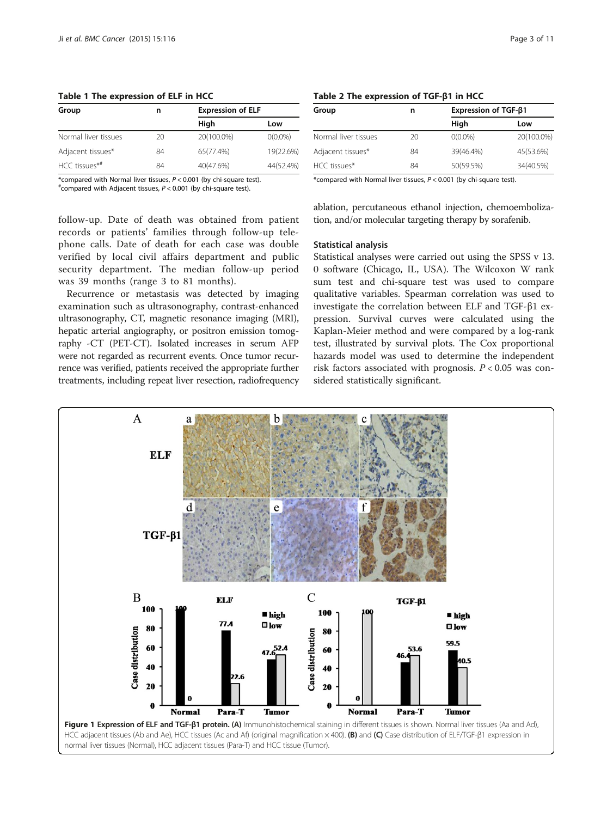<span id="page-2-0"></span>Table 1 The expression of ELF in HCC

| Group                | n  | <b>Expression of ELF</b> |            |  |
|----------------------|----|--------------------------|------------|--|
|                      |    | High                     | Low        |  |
| Normal liver tissues | 20 | 20(100.0%)               | $0(0.0\%)$ |  |
| Adjacent tissues*    | 84 | 65(77.4%)                | 19(22.6%)  |  |
| HCC tissues*#        | 84 | 40(47.6%)                | 44(52.4%)  |  |

phone calls. Date of death for each case was double verified by local civil affairs department and public security department. The median follow-up period

Recurrence or metastasis was detected by imaging examination such as ultrasonography, contrast-enhanced ultrasonography, CT, magnetic resonance imaging (MRI), hepatic arterial angiography, or positron emission tomography -CT (PET-CT). Isolated increases in serum AFP were not regarded as recurrent events. Once tumor recurrence was verified, patients received the appropriate further treatments, including repeat liver resection, radiofrequency

\*compared with Normal liver tissues,  $P < 0.001$  (by chi-square test).

 $*$  compared with Adjacent tissues,  $P < 0.001$  (by chi-square test).

was 39 months (range 3 to 81 months).

|  | Table 2 The expression of $TGF-\beta1 in HCC$ |  |  |
|--|-----------------------------------------------|--|--|
|--|-----------------------------------------------|--|--|

| Group                | n  | Expression of TGF-β1 |            |  |  |
|----------------------|----|----------------------|------------|--|--|
|                      |    | High                 | Low        |  |  |
| Normal liver tissues | 20 | $O(0.0\%)$           | 20(100.0%) |  |  |
| Adjacent tissues*    | 84 | 39(46.4%)            | 45(53.6%)  |  |  |
| HCC tissues*         | 84 | 50(59.5%)            | 34(40.5%)  |  |  |

\*compared with Normal liver tissues,  $P < 0.001$  (by chi-square test).

follow-up. Date of death was obtained from patient records or patients' families through follow-up teleablation, percutaneous ethanol injection, chemoembolization, and/or molecular targeting therapy by sorafenib.

Statistical analysis

Statistical analyses were carried out using the SPSS v 13. 0 software (Chicago, IL, USA). The Wilcoxon W rank sum test and chi-square test was used to compare qualitative variables. Spearman correlation was used to investigate the correlation between ELF and TGF-β1 expression. Survival curves were calculated using the Kaplan-Meier method and were compared by a log-rank test, illustrated by survival plots. The Cox proportional hazards model was used to determine the independent risk factors associated with prognosis.  $P < 0.05$  was considered statistically significant.

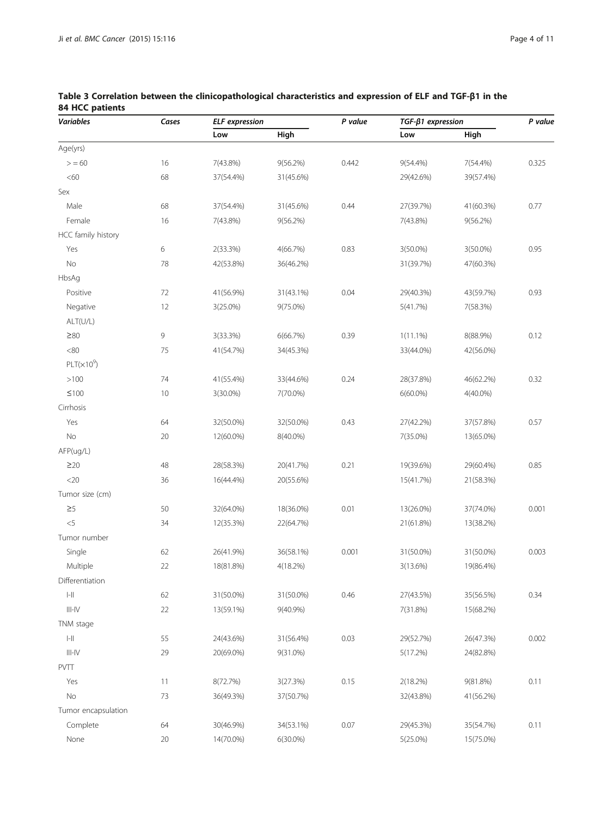| Variables                             | Cases | <b>ELF</b> expression |             | P value | $TGF-\beta1 expression$ |             | P value |
|---------------------------------------|-------|-----------------------|-------------|---------|-------------------------|-------------|---------|
|                                       |       | Low                   | High        |         | Low                     | High        |         |
| Age(yrs)                              |       |                       |             |         |                         |             |         |
| > 60                                  | 16    | 7(43.8%)              | $9(56.2\%)$ | 0.442   | $9(54.4\%)$             | 7(54.4%)    | 0.325   |
| $<\!60$                               | 68    | 37(54.4%)             | 31(45.6%)   |         | 29(42.6%)               | 39(57.4%)   |         |
| Sex                                   |       |                       |             |         |                         |             |         |
| Male                                  | 68    | 37(54.4%)             | 31(45.6%)   | 0.44    | 27(39.7%)               | 41(60.3%)   | 0.77    |
| Female                                | 16    | 7(43.8%)              | $9(56.2\%)$ |         | 7(43.8%)                | 9(56.2%)    |         |
| HCC family history                    |       |                       |             |         |                         |             |         |
| Yes                                   | 6     | 2(33.3%)              | 4(66.7%)    | 0.83    | $3(50.0\%)$             | 3(50.0%)    | 0.95    |
| $\rm No$                              | 78    | 42(53.8%)             | 36(46.2%)   |         | 31(39.7%)               | 47(60.3%)   |         |
| HbsAg                                 |       |                       |             |         |                         |             |         |
| Positive                              | 72    | 41(56.9%)             | 31(43.1%)   | 0.04    | 29(40.3%)               | 43(59.7%)   | 0.93    |
| Negative                              | 12    | $3(25.0\%)$           | 9(75.0%)    |         | 5(41.7%)                | 7(58.3%)    |         |
| ALT(U/L)                              |       |                       |             |         |                         |             |         |
| $\geq 80$                             | 9     | 3(33.3%)              | 6(66.7%)    | 0.39    | $1(11.1\%)$             | 8(88.9%)    | 0.12    |
| $<\!\!80$                             | 75    | 41(54.7%)             | 34(45.3%)   |         | 33(44.0%)               | 42(56.0%)   |         |
| $PLT(x10^9)$                          |       |                       |             |         |                         |             |         |
| >100                                  | 74    | 41(55.4%)             | 33(44.6%)   | 0.24    | 28(37.8%)               | 46(62.2%)   | 0.32    |
| $\leq100$                             | 10    | $3(30.0\%)$           | 7(70.0%)    |         | $6(60.0\%)$             | $4(40.0\%)$ |         |
| Cirrhosis                             |       |                       |             |         |                         |             |         |
| Yes                                   | 64    | 32(50.0%)             | 32(50.0%)   | 0.43    | 27(42.2%)               | 37(57.8%)   | 0.57    |
| No                                    | 20    | 12(60.0%)             | 8(40.0%)    |         | 7(35.0%)                | 13(65.0%)   |         |
| AFP(ug/L)                             |       |                       |             |         |                         |             |         |
| $\geq$ 20                             | 48    | 28(58.3%)             | 20(41.7%)   | 0.21    | 19(39.6%)               | 29(60.4%)   | 0.85    |
| $<$ 20 $\,$                           | 36    | 16(44.4%)             | 20(55.6%)   |         | 15(41.7%)               | 21(58.3%)   |         |
| Tumor size (cm)                       |       |                       |             |         |                         |             |         |
| $\geq 5$                              | 50    | 32(64.0%)             | 18(36.0%)   | 0.01    | 13(26.0%)               | 37(74.0%)   | 0.001   |
| $< 5$                                 | 34    | 12(35.3%)             | 22(64.7%)   |         | 21(61.8%)               | 13(38.2%)   |         |
| Tumor number                          |       |                       |             |         |                         |             |         |
| Single                                | 62    | 26(41.9%)             | 36(58.1%)   | 0.001   | 31(50.0%)               | 31(50.0%)   | 0.003   |
| Multiple                              | 22    | 18(81.8%)             | 4(18.2%)    |         | 3(13.6%)                | 19(86.4%)   |         |
| Differentiation                       |       |                       |             |         |                         |             |         |
| $\left\vert -\right\vert \right\vert$ | 62    | 31(50.0%)             | 31(50.0%)   | 0.46    | 27(43.5%)               | 35(56.5%)   | 0.34    |
| $\vert\vert\vert-\vert\vert/\vert$    | 22    | 13(59.1%)             | 9(40.9%)    |         | 7(31.8%)                | 15(68.2%)   |         |
| TNM stage                             |       |                       |             |         |                         |             |         |
| $\left\vert -\right\vert \right\vert$ | 55    | 24(43.6%)             | 31(56.4%)   | 0.03    | 29(52.7%)               | 26(47.3%)   | 0.002   |
| $\vert\vert\vert-\vert\vert$          | 29    | 20(69.0%)             | 9(31.0%)    |         | 5(17.2%)                | 24(82.8%)   |         |
| PVTT                                  |       |                       |             |         |                         |             |         |
| Yes                                   | 11    | 8(72.7%)              | 3(27.3%)    | 0.15    | $2(18.2\%)$             | 9(81.8%)    | 0.11    |
| No                                    | 73    | 36(49.3%)             | 37(50.7%)   |         | 32(43.8%)               | 41(56.2%)   |         |
| Tumor encapsulation                   |       |                       |             |         |                         |             |         |
| Complete                              | 64    | 30(46.9%)             | 34(53.1%)   | 0.07    | 29(45.3%)               | 35(54.7%)   | 0.11    |
| None                                  | 20    | 14(70.0%)             | $6(30.0\%)$ |         | $5(25.0\%)$             | 15(75.0%)   |         |
|                                       |       |                       |             |         |                         |             |         |

<span id="page-3-0"></span>Table 3 Correlation between the clinicopathological characteristics and expression of ELF and TGF-β1 in the 84 HCC patients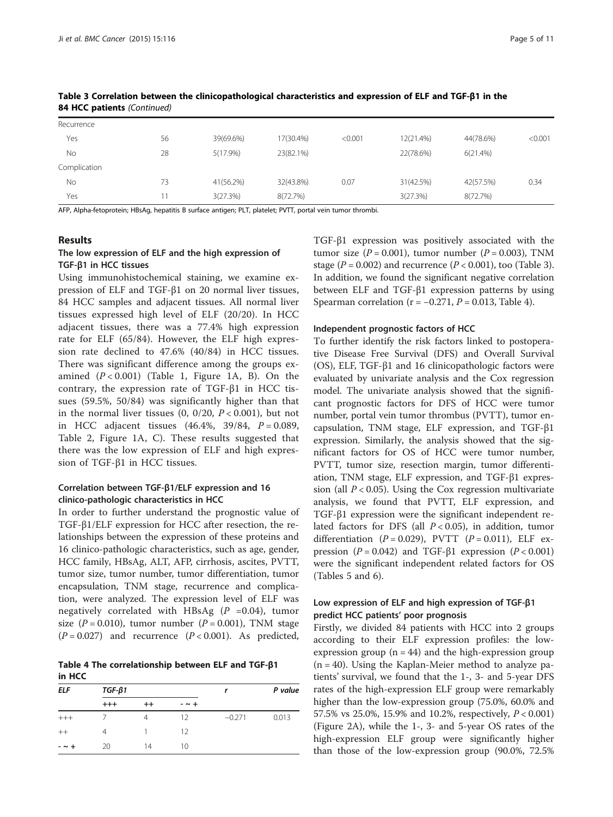| Recurrence   |    |           |           |         |           |           |         |
|--------------|----|-----------|-----------|---------|-----------|-----------|---------|
| Yes          | 56 | 39(69.6%) | 17(30.4%) | < 0.001 | 12(21.4%) | 44(78.6%) | < 0.001 |
| No           | 28 | 5(17.9%)  | 23(82.1%) |         | 22(78.6%) | 6(21.4%)  |         |
| Complication |    |           |           |         |           |           |         |
| No           | 73 | 41(56.2%) | 32(43.8%) | 0.07    | 31(42.5%) | 42(57.5%) | 0.34    |
| Yes          | 11 | 3(27.3%)  | 8(72.7%)  |         | 3(27.3%)  | 8(72.7%)  |         |

Table 3 Correlation between the clinicopathological characteristics and expression of ELF and TGF-β1 in the 84 HCC patients (Continued)

AFP, Alpha-fetoprotein; HBsAg, hepatitis B surface antigen; PLT, platelet; PVTT, portal vein tumor thrombi.

#### Results

## The low expression of ELF and the high expression of TGF-β1 in HCC tissues

Using immunohistochemical staining, we examine expression of ELF and TGF-β1 on 20 normal liver tissues, 84 HCC samples and adjacent tissues. All normal liver tissues expressed high level of ELF (20/20). In HCC adjacent tissues, there was a 77.4% high expression rate for ELF (65/84). However, the ELF high expression rate declined to 47.6% (40/84) in HCC tissues. There was significant difference among the groups examined  $(P < 0.001)$  (Table [1,](#page-2-0) Figure [1](#page-2-0)A, B). On the contrary, the expression rate of TGF-β1 in HCC tissues (59.5%, 50/84) was significantly higher than that in the normal liver tissues  $(0, 0/20, P < 0.001)$ , but not in HCC adjacent tissues  $(46.4\%, 39/84, P = 0.089,$ Table [2](#page-2-0), Figure [1A](#page-2-0), C). These results suggested that there was the low expression of ELF and high expression of TGF-β1 in HCC tissues.

## Correlation between TGF-β1/ELF expression and 16 clinico-pathologic characteristics in HCC

In order to further understand the prognostic value of TGF-β1/ELF expression for HCC after resection, the relationships between the expression of these proteins and 16 clinico-pathologic characteristics, such as age, gender, HCC family, HBsAg, ALT, AFP, cirrhosis, ascites, PVTT, tumor size, tumor number, tumor differentiation, tumor encapsulation, TNM stage, recurrence and complication, were analyzed. The expression level of ELF was negatively correlated with HBsAg  $(P = 0.04)$ , tumor size  $(P = 0.010)$ , tumor number  $(P = 0.001)$ , TNM stage  $(P = 0.027)$  and recurrence  $(P < 0.001)$ . As predicted,

Table 4 The correlationship between ELF and TGF-β1 in HCC

| <b>ELF</b>  | $TGF-\beta1$ |                | r           | P value  |       |
|-------------|--------------|----------------|-------------|----------|-------|
|             | $^{++}$      | $^{++}$        | $ \sim$ $+$ |          |       |
| $+++$       |              | $\overline{4}$ | 12          | $-0.271$ | 0.013 |
| $++$        | 4            |                | 12          |          |       |
| $ \sim$ $+$ | 20           | 14             | 10          |          |       |

TGF-β1 expression was positively associated with the tumor size  $(P = 0.001)$ , tumor number  $(P = 0.003)$ , TNM stage ( $P = 0.002$ ) and recurrence ( $P < 0.001$ ), too (Table [3](#page-3-0)). In addition, we found the significant negative correlation between ELF and TGF-β1 expression patterns by using Spearman correlation ( $r = -0.271$ ,  $P = 0.013$ , Table 4).

#### Independent prognostic factors of HCC

To further identify the risk factors linked to postoperative Disease Free Survival (DFS) and Overall Survival (OS), ELF, TGF-β1 and 16 clinicopathologic factors were evaluated by univariate analysis and the Cox regression model. The univariate analysis showed that the significant prognostic factors for DFS of HCC were tumor number, portal vein tumor thrombus (PVTT), tumor encapsulation, TNM stage, ELF expression, and TGF-β1 expression. Similarly, the analysis showed that the significant factors for OS of HCC were tumor number, PVTT, tumor size, resection margin, tumor differentiation, TNM stage, ELF expression, and TGF-β1 expression (all  $P < 0.05$ ). Using the Cox regression multivariate analysis, we found that PVTT, ELF expression, and TGF-β1 expression were the significant independent related factors for DFS (all  $P < 0.05$ ), in addition, tumor differentiation  $(P = 0.029)$ , PVTT  $(P = 0.011)$ , ELF expression ( $P = 0.042$ ) and TGF-β1 expression ( $P < 0.001$ ) were the significant independent related factors for OS (Tables [5](#page-5-0) and [6\)](#page-6-0).

## Low expression of ELF and high expression of TGF-β1 predict HCC patients' poor prognosis

Firstly, we divided 84 patients with HCC into 2 groups according to their ELF expression profiles: the lowexpression group ( $n = 44$ ) and the high-expression group  $(n = 40)$ . Using the Kaplan-Meier method to analyze patients' survival, we found that the 1-, 3- and 5-year DFS rates of the high-expression ELF group were remarkably higher than the low-expression group (75.0%, 60.0% and 57.5% vs 25.0%, 15.9% and 10.2%, respectively, P < 0.001) (Figure [2](#page-7-0)A), while the 1-, 3- and 5-year OS rates of the high-expression ELF group were significantly higher than those of the low-expression group (90.0%, 72.5%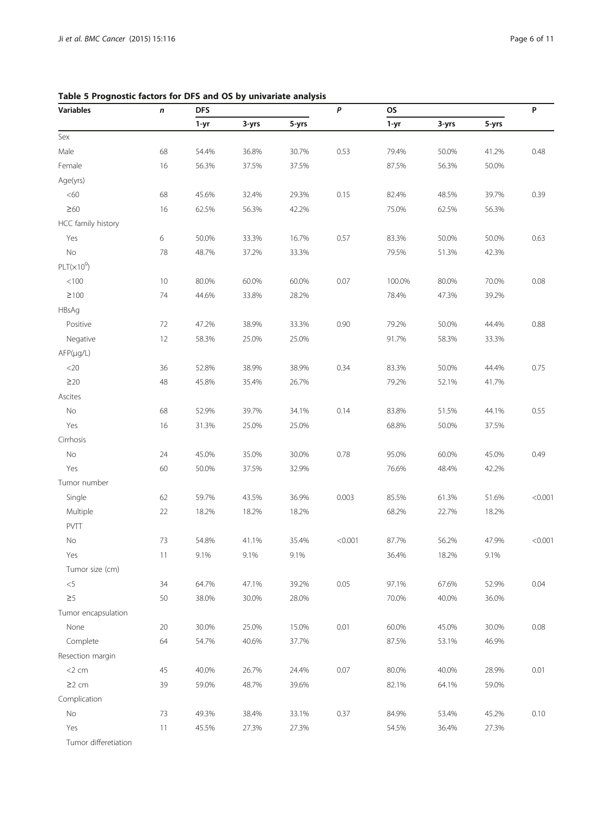<span id="page-5-0"></span>

| Table 5 Prognostic factors for DFS and OS by univariate analysis |  |  |  |  |
|------------------------------------------------------------------|--|--|--|--|
|------------------------------------------------------------------|--|--|--|--|

| <b>Variables</b>     | n  | <b>DFS</b> |       | P     | <b>OS</b> |          |       | P     |         |
|----------------------|----|------------|-------|-------|-----------|----------|-------|-------|---------|
|                      |    | 1-yr       | 3-yrs | 5-yrs |           | $1 - yr$ | 3-yrs | 5-yrs |         |
| Sex                  |    |            |       |       |           |          |       |       |         |
| Male                 | 68 | 54.4%      | 36.8% | 30.7% | 0.53      | 79.4%    | 50.0% | 41.2% | 0.48    |
| Female               | 16 | 56.3%      | 37.5% | 37.5% |           | 87.5%    | 56.3% | 50.0% |         |
| Age(yrs)             |    |            |       |       |           |          |       |       |         |
| <60                  | 68 | 45.6%      | 32.4% | 29.3% | 0.15      | 82.4%    | 48.5% | 39.7% | 0.39    |
| $\geq 60$            | 16 | 62.5%      | 56.3% | 42.2% |           | 75.0%    | 62.5% | 56.3% |         |
| HCC family history   |    |            |       |       |           |          |       |       |         |
| Yes                  | 6  | 50.0%      | 33.3% | 16.7% | 0.57      | 83.3%    | 50.0% | 50.0% | 0.63    |
| $\rm No$             | 78 | 48.7%      | 37.2% | 33.3% |           | 79.5%    | 51.3% | 42.3% |         |
| $PLT(x10^9)$         |    |            |       |       |           |          |       |       |         |
| $< 100$              | 10 | 80.0%      | 60.0% | 60.0% | 0.07      | 100.0%   | 80.0% | 70.0% | 0.08    |
| $\geq$ 100           | 74 | 44.6%      | 33.8% | 28.2% |           | 78.4%    | 47.3% | 39.2% |         |
| HBsAg                |    |            |       |       |           |          |       |       |         |
| Positive             | 72 | 47.2%      | 38.9% | 33.3% | 0.90      | 79.2%    | 50.0% | 44.4% | 0.88    |
| Negative             | 12 | 58.3%      | 25.0% | 25.0% |           | 91.7%    | 58.3% | 33.3% |         |
| $AFP(\mu g/L)$       |    |            |       |       |           |          |       |       |         |
| $<$ 20               | 36 | 52.8%      | 38.9% | 38.9% | 0.34      | 83.3%    | 50.0% | 44.4% | 0.75    |
| $\geq$ 20            | 48 | 45.8%      | 35.4% | 26.7% |           | 79.2%    | 52.1% | 41.7% |         |
| Ascites              |    |            |       |       |           |          |       |       |         |
| $\rm No$             | 68 | 52.9%      | 39.7% | 34.1% | 0.14      | 83.8%    | 51.5% | 44.1% | 0.55    |
| Yes                  | 16 | 31.3%      | 25.0% | 25.0% |           | 68.8%    | 50.0% | 37.5% |         |
| Cirrhosis            |    |            |       |       |           |          |       |       |         |
| $\rm No$             | 24 | 45.0%      | 35.0% | 30.0% | 0.78      | 95.0%    | 60.0% | 45.0% | 0.49    |
| Yes                  | 60 | 50.0%      | 37.5% | 32.9% |           | 76.6%    | 48.4% | 42.2% |         |
| Tumor number         |    |            |       |       |           |          |       |       |         |
| Single               | 62 | 59.7%      | 43.5% | 36.9% | 0.003     | 85.5%    | 61.3% | 51.6% | < 0.001 |
| Multiple             | 22 | 18.2%      | 18.2% | 18.2% |           | 68.2%    | 22.7% | 18.2% |         |
| PVTT                 |    |            |       |       |           |          |       |       |         |
| No                   | 73 | 54.8%      | 41.1% | 35.4% | < 0.001   | 87.7%    | 56.2% | 47.9% | < 0.001 |
| Yes                  | 11 | 9.1%       | 9.1%  | 9.1%  |           | 36.4%    | 18.2% | 9.1%  |         |
| Tumor size (cm)      |    |            |       |       |           |          |       |       |         |
| $<$ 5                | 34 | 64.7%      | 47.1% | 39.2% | 0.05      | 97.1%    | 67.6% | 52.9% | 0.04    |
| $\geq$ 5             | 50 | 38.0%      | 30.0% | 28.0% |           | 70.0%    | 40.0% | 36.0% |         |
| Tumor encapsulation  |    |            |       |       |           |          |       |       |         |
| None                 | 20 | 30.0%      | 25.0% | 15.0% | 0.01      | 60.0%    | 45.0% | 30.0% | 0.08    |
| Complete             | 64 | 54.7%      | 40.6% | 37.7% |           | 87.5%    | 53.1% | 46.9% |         |
| Resection margin     |    |            |       |       |           |          |       |       |         |
| $<$ 2 cm             | 45 | 40.0%      | 26.7% | 24.4% | 0.07      | 80.0%    | 40.0% | 28.9% | 0.01    |
| $\geq$ 2 cm          | 39 | 59.0%      | 48.7% | 39.6% |           | 82.1%    | 64.1% | 59.0% |         |
| Complication         |    |            |       |       |           |          |       |       |         |
| No                   | 73 | 49.3%      | 38.4% | 33.1% | 0.37      | 84.9%    | 53.4% | 45.2% | 0.10    |
| Yes                  | 11 | 45.5%      | 27.3% | 27.3% |           | 54.5%    | 36.4% | 27.3% |         |
| Tumor differetiation |    |            |       |       |           |          |       |       |         |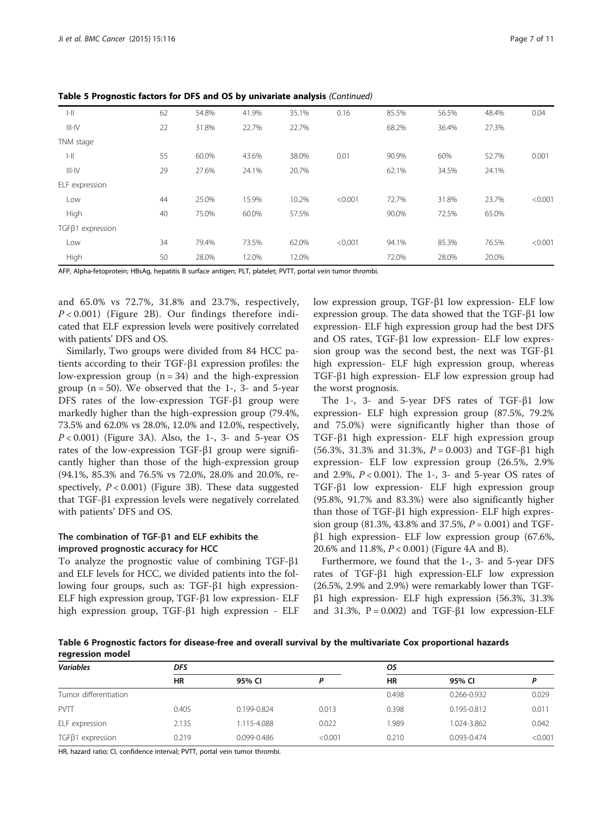| $ -  $                 | 62 | 54.8% | 41.9% | 35.1% | 0.16    | 85.5% | 56.5% | 48.4% | 0.04    |
|------------------------|----|-------|-------|-------|---------|-------|-------|-------|---------|
| $III-N$                | 22 | 31.8% | 22.7% | 22.7% |         | 68.2% | 36.4% | 27.3% |         |
| TNM stage              |    |       |       |       |         |       |       |       |         |
| $ -  $                 | 55 | 60.0% | 43.6% | 38.0% | 0.01    | 90.9% | 60%   | 52.7% | 0.001   |
| $III-N$                | 29 | 27.6% | 24.1% | 20.7% |         | 62.1% | 34.5% | 24.1% |         |
| ELF expression         |    |       |       |       |         |       |       |       |         |
| Low                    | 44 | 25.0% | 15.9% | 10.2% | < 0.001 | 72.7% | 31.8% | 23.7% | < 0.001 |
| High                   | 40 | 75.0% | 60.0% | 57.5% |         | 90.0% | 72.5% | 65.0% |         |
| $TGF\beta1$ expression |    |       |       |       |         |       |       |       |         |
| Low                    | 34 | 79.4% | 73.5% | 62.0% | < 0.001 | 94.1% | 85.3% | 76.5% | < 0.001 |
| High                   | 50 | 28.0% | 12.0% | 12.0% |         | 72.0% | 28.0% | 20.0% |         |
|                        |    |       |       |       |         |       |       |       |         |

<span id="page-6-0"></span>Table 5 Prognostic factors for DFS and OS by univariate analysis (Continued)

AFP, Alpha-fetoprotein; HBsAg, hepatitis B surface antigen; PLT, platelet; PVTT, portal vein tumor thrombi.

and 65.0% vs 72.7%, 31.8% and 23.7%, respectively,  $P < 0.001$ ) (Figure [2](#page-7-0)B). Our findings therefore indicated that ELF expression levels were positively correlated with patients' DFS and OS.

Similarly, Two groups were divided from 84 HCC patients according to their TGF-β1 expression profiles: the low-expression group  $(n = 34)$  and the high-expression group  $(n = 50)$ . We observed that the 1-, 3- and 5-year DFS rates of the low-expression TGF-β1 group were markedly higher than the high-expression group (79.4%, 73.5% and 62.0% vs 28.0%, 12.0% and 12.0%, respectively,  $P < 0.001$ ) (Figure [3A](#page-7-0)). Also, the 1-, 3- and 5-year OS rates of the low-expression TGF-β1 group were significantly higher than those of the high-expression group (94.1%, 85.3% and 76.5% vs 72.0%, 28.0% and 20.0%, respectively,  $P < 0.001$ ) (Figure [3](#page-7-0)B). These data suggested that TGF-β1 expression levels were negatively correlated with patients' DFS and OS.

## The combination of TGF-β1 and ELF exhibits the improved prognostic accuracy for HCC

To analyze the prognostic value of combining TGF-β1 and ELF levels for HCC, we divided patients into the following four groups, such as: TGF-β1 high expression-ELF high expression group, TGF-β1 low expression- ELF high expression group, TGF-β1 high expression - ELF low expression group, TGF-β1 low expression- ELF low expression group. The data showed that the TGF-β1 low expression- ELF high expression group had the best DFS and OS rates, TGF-β1 low expression- ELF low expression group was the second best, the next was TGF-β1 high expression- ELF high expression group, whereas TGF-β1 high expression- ELF low expression group had the worst prognosis.

The 1-, 3- and 5-year DFS rates of TGF-β1 low expression- ELF high expression group (87.5%, 79.2% and 75.0%) were significantly higher than those of TGF-β1 high expression- ELF high expression group (56.3%, 31.3% and 31.3%,  $P = 0.003$ ) and TGF- $\beta$ 1 high expression- ELF low expression group (26.5%, 2.9% and 2.9%,  $P < 0.001$ ). The 1-, 3- and 5-year OS rates of TGF-β1 low expression- ELF high expression group (95.8%, 91.7% and 83.3%) were also significantly higher than those of TGF-β1 high expression- ELF high expression group (81.3%, 43.8% and 37.5%,  $P = 0.001$ ) and TGFβ1 high expression- ELF low expression group (67.6%, 20.6% and 11.8%, P < 0.001) (Figure [4A](#page-8-0) and B).

Furthermore, we found that the 1-, 3- and 5-year DFS rates of TGF-β1 high expression-ELF low expression (26.5%, 2.9% and 2.9%) were remarkably lower than TGFβ1 high expression- ELF high expression (56.3%, 31.3% and 31.3%,  $P = 0.002$ ) and TGF- $\beta$ 1 low expression-ELF

Table 6 Prognostic factors for disease-free and overall survival by the multivariate Cox proportional hazards regression model

| <b>Variables</b>       | DFS                 |             |         | os    |             |         |  |
|------------------------|---------------------|-------------|---------|-------|-------------|---------|--|
|                        | <b>HR</b><br>95% CI |             | D       | HR    | 95% CI      | D       |  |
| Tumor differentiation  |                     |             |         | 0.498 | 0.266-0.932 | 0.029   |  |
| <b>PVTT</b>            | 0.405               | 0.199-0.824 | 0.013   | 0.398 | 0.195-0.812 | 0.011   |  |
| ELF expression         | 2.135               | 1.115-4.088 | 0.022   | .989  | 1.024-3.862 | 0.042   |  |
| $TGF\beta1$ expression | 0.219               | 0.099-0.486 | < 0.001 | 0.210 | 0.093-0.474 | < 0.001 |  |

HR, hazard ratio; CI, confidence interval; PVTT, portal vein tumor thrombi.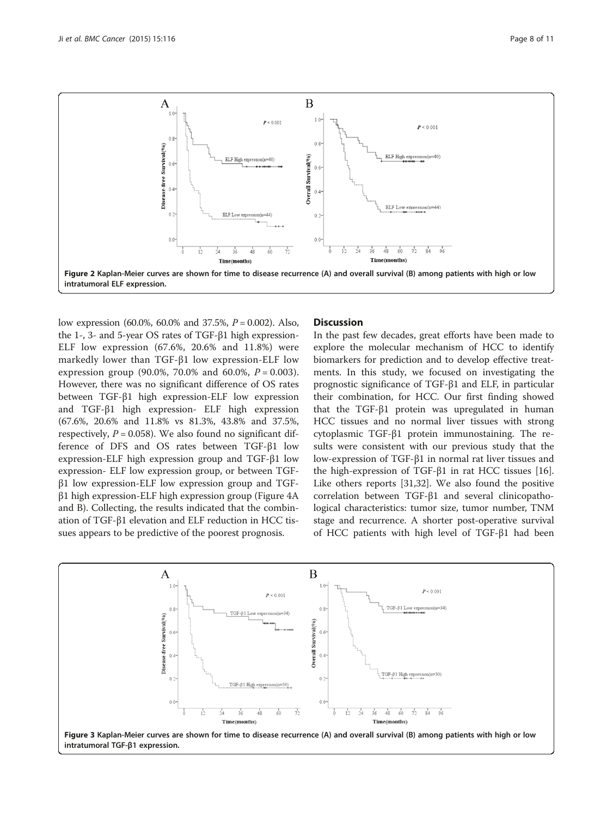<span id="page-7-0"></span>

low expression (60.0%, 60.0% and 37.5%, P = 0.002). Also, the 1-, 3- and 5-year OS rates of TGF-β1 high expression-ELF low expression (67.6%, 20.6% and 11.8%) were markedly lower than TGF-β1 low expression-ELF low expression group (90.0%, 70.0% and 60.0%,  $P = 0.003$ ). However, there was no significant difference of OS rates between TGF-β1 high expression-ELF low expression and TGF-β1 high expression- ELF high expression (67.6%, 20.6% and 11.8% vs 81.3%, 43.8% and 37.5%, respectively,  $P = 0.058$ ). We also found no significant difference of DFS and OS rates between TGF-β1 low expression-ELF high expression group and TGF-β1 low expression- ELF low expression group, or between TGFβ1 low expression-ELF low expression group and TGFβ1 high expression-ELF high expression group (Figure [4A](#page-8-0) and B). Collecting, the results indicated that the combination of TGF-β1 elevation and ELF reduction in HCC tissues appears to be predictive of the poorest prognosis.

## **Discussion**

In the past few decades, great efforts have been made to explore the molecular mechanism of HCC to identify biomarkers for prediction and to develop effective treatments. In this study, we focused on investigating the prognostic significance of TGF-β1 and ELF, in particular their combination, for HCC. Our first finding showed that the TGF-β1 protein was upregulated in human HCC tissues and no normal liver tissues with strong cytoplasmic TGF-β1 protein immunostaining. The results were consistent with our previous study that the low-expression of TGF-β1 in normal rat liver tissues and the high-expression of TGF-β1 in rat HCC tissues [\[16](#page-9-0)]. Like others reports [\[31,32](#page-10-0)]. We also found the positive correlation between TGF-β1 and several clinicopathological characteristics: tumor size, tumor number, TNM stage and recurrence. A shorter post-operative survival of HCC patients with high level of TGF-β1 had been

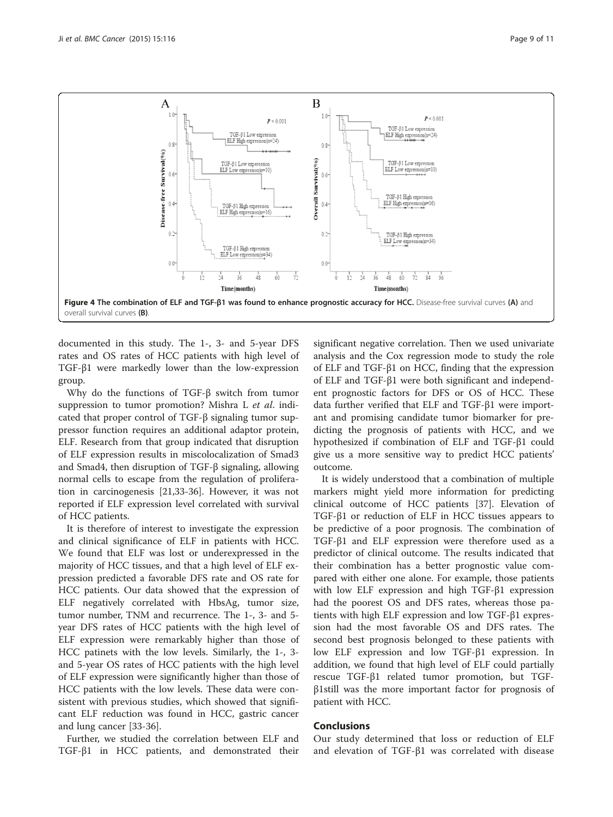<span id="page-8-0"></span>

documented in this study. The 1-, 3- and 5-year DFS rates and OS rates of HCC patients with high level of TGF-β1 were markedly lower than the low-expression group.

Why do the functions of TGF-β switch from tumor suppression to tumor promotion? Mishra L et al. indicated that proper control of TGF-β signaling tumor suppressor function requires an additional adaptor protein, ELF. Research from that group indicated that disruption of ELF expression results in miscolocalization of Smad3 and Smad4, then disruption of TGF-β signaling, allowing normal cells to escape from the regulation of proliferation in carcinogenesis [[21,](#page-9-0)[33-36\]](#page-10-0). However, it was not reported if ELF expression level correlated with survival of HCC patients.

It is therefore of interest to investigate the expression and clinical significance of ELF in patients with HCC. We found that ELF was lost or underexpressed in the majority of HCC tissues, and that a high level of ELF expression predicted a favorable DFS rate and OS rate for HCC patients. Our data showed that the expression of ELF negatively correlated with HbsAg, tumor size, tumor number, TNM and recurrence. The 1-, 3- and 5 year DFS rates of HCC patients with the high level of ELF expression were remarkably higher than those of HCC patinets with the low levels. Similarly, the 1-, 3 and 5-year OS rates of HCC patients with the high level of ELF expression were significantly higher than those of HCC patients with the low levels. These data were consistent with previous studies, which showed that significant ELF reduction was found in HCC, gastric cancer and lung cancer [\[33](#page-10-0)-[36\]](#page-10-0).

Further, we studied the correlation between ELF and TGF-β1 in HCC patients, and demonstrated their

significant negative correlation. Then we used univariate analysis and the Cox regression mode to study the role of ELF and TGF-β1 on HCC, finding that the expression of ELF and TGF-β1 were both significant and independent prognostic factors for DFS or OS of HCC. These data further verified that ELF and TGF-β1 were important and promising candidate tumor biomarker for predicting the prognosis of patients with HCC, and we hypothesized if combination of ELF and TGF-β1 could give us a more sensitive way to predict HCC patients' outcome.

It is widely understood that a combination of multiple markers might yield more information for predicting clinical outcome of HCC patients [\[37\]](#page-10-0). Elevation of TGF-β1 or reduction of ELF in HCC tissues appears to be predictive of a poor prognosis. The combination of TGF-β1 and ELF expression were therefore used as a predictor of clinical outcome. The results indicated that their combination has a better prognostic value compared with either one alone. For example, those patients with low ELF expression and high TGF-β1 expression had the poorest OS and DFS rates, whereas those patients with high ELF expression and low TGF-β1 expression had the most favorable OS and DFS rates. The second best prognosis belonged to these patients with low ELF expression and low TGF-β1 expression. In addition, we found that high level of ELF could partially rescue TGF-β1 related tumor promotion, but TGFβ1still was the more important factor for prognosis of patient with HCC.

#### Conclusions

Our study determined that loss or reduction of ELF and elevation of TGF-β1 was correlated with disease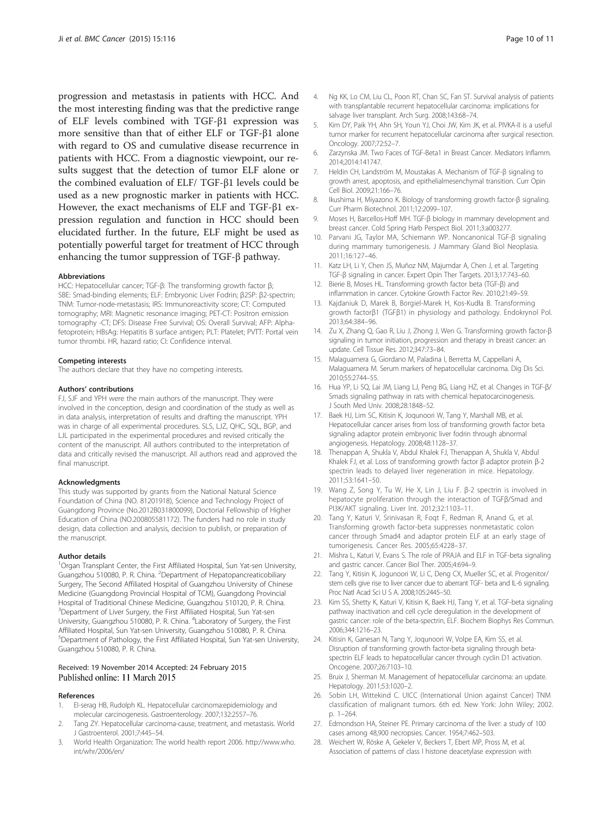<span id="page-9-0"></span>progression and metastasis in patients with HCC. And the most interesting finding was that the predictive range of ELF levels combined with TGF-β1 expression was more sensitive than that of either ELF or TGF-β1 alone with regard to OS and cumulative disease recurrence in patients with HCC. From a diagnostic viewpoint, our results suggest that the detection of tumor ELF alone or the combined evaluation of ELF/ TGF-β1 levels could be used as a new prognostic marker in patients with HCC. However, the exact mechanisms of ELF and TGF-β1 expression regulation and function in HCC should been elucidated further. In the future, ELF might be used as potentially powerful target for treatment of HCC through enhancing the tumor suppression of TGF-β pathway.

#### Abbreviations

HCC: Hepatocellular cancer; TGF-β: The transforming growth factor β; SBE: Smad-binding elements; ELF: Embryonic Liver Fodrin; β2SP: β2-spectrin; TNM: Tumor-node-metastasis; IRS: Immunoreactivity score; CT: Computed tomography; MRI: Magnetic resonance imaging; PET-CT: Positron emission tomography -CT; DFS: Disease Free Survival; OS: Overall Survival; AFP: Alphafetoprotein; HBsAg: Hepatitis B surface antigen; PLT: Platelet; PVTT: Portal vein tumor thrombi. HR, hazard ratio; CI: Confidence interval.

#### Competing interests

The authors declare that they have no competing interests.

#### Authors' contributions

FJ, SJF and YPH were the main authors of the manuscript. They were involved in the conception, design and coordination of the study as well as in data analysis, interpretation of results and drafting the manuscript. YPH was in charge of all experimental procedures. SLS, LJZ, QHC, SQL, BGP, and LJL participated in the experimental procedures and revised critically the content of the manuscript. All authors contributed to the interpretation of data and critically revised the manuscript. All authors read and approved the final manuscript.

#### **Acknowledaments**

This study was supported by grants from the National Natural Science Foundation of China (NO. 81201918), Science and Technology Project of Guangdong Province (No.2012B031800099), Doctorial Fellowship of Higher Education of China (NO.200805581172). The funders had no role in study design, data collection and analysis, decision to publish, or preparation of the manuscript.

#### Author details

<sup>1</sup>Organ Transplant Center, the First Affiliated Hospital, Sun Yat-sen University, Guangzhou 510080, P. R. China. <sup>2</sup>Department of Hepatopancreaticobiliary Surgery, The Second Affiliated Hospital of Guangzhou University of Chinese Medicine (Guangdong Provincial Hospital of TCM), Guangdong Provincial Hospital of Traditional Chinese Medicine, Guangzhou 510120, P. R. China. <sup>3</sup>Department of Liver Surgery, the First Affiliated Hospital, Sun Yat-sen University, Guangzhou 510080, P. R. China. <sup>4</sup>Laboratory of Surgery, the First Affiliated Hospital, Sun Yat-sen University, Guangzhou 510080, P. R. China. 5 Department of Pathology, the First Affiliated Hospital, Sun Yat-sen University, Guangzhou 510080, P. R. China.

#### Received: 19 November 2014 Accepted: 24 February 2015 Published online: 11 March 2015

#### References

- 1. EI-serag HB, Rudolph KL. Hepatocellular carcinoma:epidemiology and molecular carcinogenesis. Gastroenterology. 2007;132:2557–76.
- Tang ZY. Hepatocellular carcinoma-cause, treatment, and metastasis. World J Gastroenterol. 2001;7:445–54.
- 3. World Health Organization: The world health report 2006. [http://www.who.](http://www.who.int/whr/2006/en/) [int/whr/2006/en/](http://www.who.int/whr/2006/en/)
- 4. Ng KK, Lo CM, Liu CL, Poon RT, Chan SC, Fan ST. Survival analysis of patients with transplantable recurrent hepatocellular carcinoma: implications for salvage liver transplant. Arch Surg. 2008;143:68–74.
- 5. Kim DY, Paik YH, Ahn SH, Youn YJ, Choi JW, Kim JK, et al. PIVKA-II is a useful tumor marker for recurrent hepatocellular carcinoma after surgical resection. Oncology. 2007;72:52–7.
- 6. Zarzynska JM. Two Faces of TGF-Beta1 in Breast Cancer. Mediators Inflamm. 2014;2014:141747.
- 7. Heldin CH, Landström M, Moustakas A. Mechanism of TGF-β signaling to growth arrest, apoptosis, and epithelialmesenchymal transition. Curr Opin Cell Biol. 2009;21:166–76.
- 8. Ikushima H, Miyazono K. Biology of transforming growth factor-β signaling. Curr Pharm Biotechnol. 2011;12:2099–107.
- 9. Moses H, Barcellos-Hoff MH. TGF-β biology in mammary development and breast cancer. Cold Spring Harb Perspect Biol. 2011;3:a003277.
- 10. Parvani JG, Taylor MA, Schiemann WP. Noncanonical TGF-β signaling during mammary tumorigenesis. J Mammary Gland Biol Neoplasia. 2011;16:127–46.
- 11. Katz LH, Li Y, Chen JS, Muñoz NM, Majumdar A, Chen J, et al. Targeting TGF-β signaling in cancer. Expert Opin Ther Targets. 2013;17:743–60.
- 12. Bierie B, Moses HL. Transforming growth factor beta (TGF-β) and inflammation in cancer. Cytokine Growth Factor Rev. 2010;21:49–59.
- 13. Kajdaniuk D, Marek B, Borgiel-Marek H, Kos-Kudła B. Transforming growth factorβ1 (TGFβ1) in physiology and pathology. Endokrynol Pol. 2013;64:384–96.
- 14. Zu X, Zhang Q, Gao R, Liu J, Zhong J, Wen G. Transforming growth factor-β signaling in tumor initiation, progression and therapy in breast cancer: an update. Cell Tissue Res. 2012;347:73–84.
- 15. Malaguarnera G, Giordano M, Paladina I, Berretta M, Cappellani A, Malaguarnera M. Serum markers of hepatocellular carcinoma. Dig Dis Sci. 2010;55:2744–55.
- 16. Hua YP, Li SQ, Lai JM, Liang LJ, Peng BG, Liang HZ, et al. Changes in TGF-β/ Smads signaling pathway in rats with chemical hepatocarcinogenesis. J South Med Univ. 2008;28:1848–52.
- 17. Baek HJ, Lim SC, Kitisin K, Joqunoori W, Tang Y, Marshall MB, et al. Hepatocellular cancer arises from loss of transforming growth factor beta signaling adaptor protein embryonic liver fodrin through abnormal angiogenesis. Hepatology. 2008;48:1128–37.
- 18. Thenappan A, Shukla V, Abdul Khalek FJ, Thenappan A, Shukla V, Abdul Khalek FJ, et al. Loss of transforming growth factor β adaptor protein β-2 spectrin leads to delayed liver regeneration in mice. Hepatology. 2011;53:1641–50.
- 19. Wang Z, Song Y, Tu W, He X, Lin J, Liu F. β-2 spectrin is involved in hepatocyte proliferation through the interaction of TGFβ/Smad and PI3K/AKT signaling. Liver Int. 2012;32:1103–11.
- 20. Tang Y, Katuri V, Srinivasan R, Foqt F, Redman R, Anand G, et al. Transforming growth factor-beta suppresses nonmetastatic colon cancer through Smad4 and adaptor protein ELF at an early stage of tumorigenesis. Cancer Res. 2005;65:4228–37.
- 21. Mishra L, Katuri V, Evans S. The role of PRAJA and ELF in TGF-beta signaling and gastric cancer. Cancer Biol Ther. 2005;4:694–9.
- 22. Tang Y, Kitisin K, Jogunoori W, Li C, Deng CX, Mueller SC, et al. Progenitor/ stem cells give rise to liver cancer due to aberrant TGF- beta and IL-6 signaling. Proc Natl Acad Sci U S A. 2008;105:2445–50.
- 23. Kim SS, Shetty K, Katuri V, Kitisin K, Baek HJ, Tang Y, et al. TGF-beta signaling pathway inactivation and cell cycle deregulation in the development of gastric cancer: role of the beta-spectrin, ELF. Biochem Biophys Res Commun. 2006;344:1216–23.
- 24. Kitisin K, Ganesan N, Tang Y, Joqunoori W, Volpe EA, Kim SS, et al. Disruption of transforming growth factor-beta signaling through betaspectrin ELF leads to hepatocellular cancer through cyclin D1 activation. Oncogene. 2007;26:7103–10.
- 25. Bruix J, Sherman M. Management of hepatocellular carcinoma: an update. Hepatology. 2011;53:1020–2.
- 26. Sobin LH, Wittekind C. UICC (International Union against Cancer) TNM classification of malignant tumors. 6th ed. New York: John Wiley; 2002. p. 1–264.
- 27. Edmondson HA, Steiner PE. Primary carcinoma of the liver: a study of 100 cases among 48,900 necropsies. Cancer. 1954;7:462–503.
- 28. Weichert W, Röske A, Gekeler V, Beckers T, Ebert MP, Pross M, et al. Association of patterns of class I histone deacetylase expression with